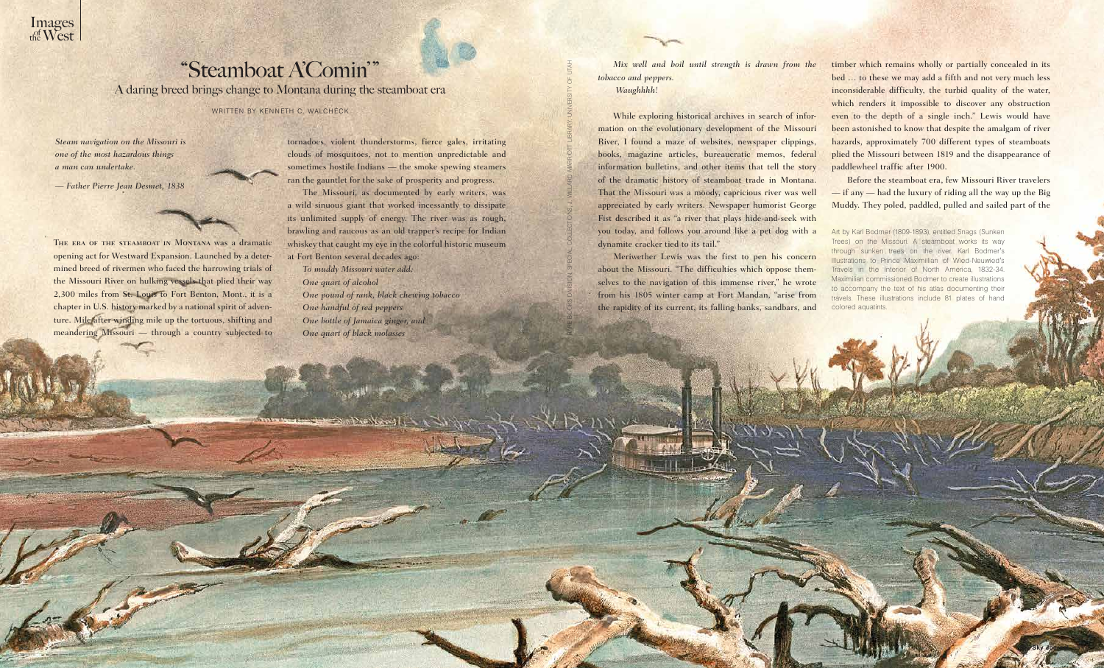THE ERA OF THE STEAMBOAT IN MONTANA was a dramatic opening act for Westward Expansion. Launched by a determined breed of rivermen who faced the harrowing trials of the Missouri River on hulking vessels that plied their way 2,300 miles from St. Louis to Fort Benton, Mont., it is a chapter in U.S. history marked by a national spirit of adventure. Mile after winding mile up the tortuous, shifting and meandering Missouri — through a country subjected to

*Mix well and boil until strength is drawn from the tobacco and peppers. Waughhhh!*

While exploring historical archives in search of information on the evolutionary development of the Missouri River, I found a maze of websites, newspaper clippings, books, magazine articles, bureaucratic memos, federal information bulletins, and other items that tell the story of the dramatic history of steamboat trade in Montana. That the Missouri was a moody, capricious river was well appreciated by early writers. Newspaper humorist George Fist described it as "a river that plays hide-and-seek with you today, and follows you around like a pet dog with a dynamite cracker tied to its tail."

Meriwether Lewis was the first to pen his concern about the Missouri. "The difficulties which oppose themselves to the navigation of this immense river," he wrote from his 1805 winter camp at Fort Mandan, "arise from the rapidity of its current, its falling banks, sandbars, and

Rare Books Division, Special Collections, J. Willard Marriott Library, University of Utah

 $\mathcal{D} = \mathcal{D} = \mathcal{D} = \mathcal{D} = \mathcal{D} = \mathcal{D} = \mathcal{D} = \mathcal{D} = \mathcal{D} = \mathcal{D} = \mathcal{D} = \mathcal{D} = \mathcal{D} = \mathcal{D} = \mathcal{D} = \mathcal{D} = \mathcal{D} = \mathcal{D} = \mathcal{D} = \mathcal{D} = \mathcal{D} = \mathcal{D} = \mathcal{D} = \mathcal{D} = \mathcal{D} = \mathcal{D} = \mathcal{D} = \mathcal{D} = \mathcal{D} = \mathcal{D} = \mathcal{D} = \mathcal$ 

Art by Karl Bodmer (1809-1893), entitled Snags (Sunken Trees) on the Missouri. A steamboat works its way sunken trees on the river. Karl Bodmer's Illustrations to Prince Maximillian of Wied-Neuwied's Travels in the Interior of North America, 1832-34. an commissioned Bodmer to create illustrations to accompany the text of his atlas documenting their travels. These illustrations include 81 plates of hand colored aquatints.

# "Steamboat A'Comin' "

A daring breed brings change to Montana during the steamboat era

WRITTEN BY KENNETH C. WALCHECK

timber which remains wholly or partially concealed in its bed … to these we may add a fifth and not very much less inconsiderable difficulty, the turbid quality of the water, which renders it impossible to discover any obstruction even to the depth of a single inch." Lewis would have been astonished to know that despite the amalgam of river hazards, approximately 700 different types of steamboats plied the Missouri between 1819 and the disappearance of paddlewheel traffic after 1900.

Before the steamboat era, few Missouri River travelers — if any — had the luxury of riding all the way up the Big Muddy. They poled, paddled, pulled and sailed part of the



tornadoes, violent thunderstorms, fierce gales, irritating clouds of mosquitoes, not to mention unpredictable and sometimes hostile Indians — the smoke spewing steamers ran the gauntlet for the sake of prosperity and progress.

The Missouri, as documented by early writers, was a wild sinuous giant that worked incessantly to dissipate its unlimited supply of energy. The river was as rough, brawling and raucous as an old trapper's recipe for Indian whiskey that caught my eye in the colorful historic museum at Fort Benton several decades ago:

*To muddy Missouri water add: One quart of alcohol One pound of rank, black chewing tobacco One handful of red peppers One bottle of Jamaica ginger, and One quart of black molasses*

*Steam navigation on the Missouri is one of the most hazardous things a man can undertake.* 

*— Father Pierre Jean Desmet, 1838*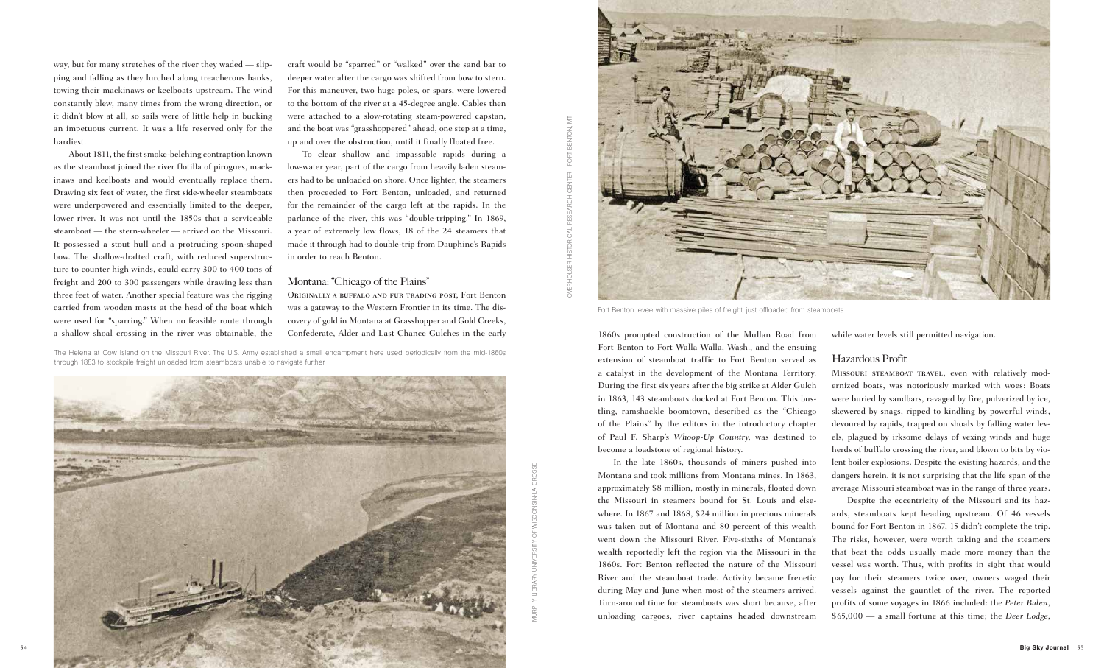

way, but for many stretches of the river they waded — slipping and falling as they lurched along treacherous banks, towing their mackinaws or keelboats upstream. The wind constantly blew, many times from the wrong direction, or it didn't blow at all, so sails were of little help in bucking an impetuous current. It was a life reserved only for the hardiest.

About 1811, the first smoke-belching contraption known as the steamboat joined the river flotilla of pirogues, mackinaws and keelboats and would eventually replace them. Drawing six feet of water, the first side-wheeler steamboats were underpowered and essentially limited to the deeper, lower river. It was not until the 1850s that a serviceable steamboat — the stern-wheeler — arrived on the Missouri. It possessed a stout hull and a protruding spoon-shaped bow. The shallow-drafted craft, with reduced superstructure to counter high winds, could carry 300 to 400 tons of freight and 200 to 300 passengers while drawing less than three feet of water. Another special feature was the rigging carried from wooden masts at the head of the boat which were used for "sparring." When no feasible route through

a shallow shoal crossing in the river was obtainable, the Confederate, Alder and Last Chance Gulches in the early 1860s prompted construction of the Mullan Road from Fort Benton to Fort Walla Walla, Wash., and the ensuing extension of steamboat traffic to Fort Benton served as a catalyst in the development of the Montana Territory. During the first six years after the big strike at Alder Gulch in 1863, 143 steamboats docked at Fort Benton. This bustling, ramshackle boomtown, described as the "Chicago of the Plains" by the editors in the introductory chapter of Paul F. Sharp's *Whoop-Up Country*, was destined to become a loadstone of regional history.

> In the late 1860s, thousands of miners pushed into Montana and took millions from Montana mines. In 1863, approximately \$8 million, mostly in minerals, floated down the Missouri in steamers bound for St. Louis and elsewhere. In 1867 and 1868, \$24 million in precious minerals was taken out of Montana and 80 percent of this wealth went down the Missouri River. Five-sixths of Montana's wealth reportedly left the region via the Missouri in the 1860s. Fort Benton reflected the nature of the Missouri River and the steamboat trade. Activity became frenetic during May and June when most of the steamers arrived. Turn-around time for steamboats was short because, after unloading cargoes, river captains headed downstream Montana and took millions from Montana mines. In 1863, dangers herein, it is not surprising that the life span of the<br>approximately \$8 million, mostly in minerals, floated down<br>average Missouri steamboat was in the range o

while water levels still permitted navigation.

# Hazardous Profit

Missouri steamboat travel, even with relatively modernized boats, was notoriously marked with woes: Boats were buried by sandbars, ravaged by fire, pulverized by ice, skewered by snags, ripped to kindling by powerful winds, devoured by rapids, trapped on shoals by falling water levels, plagued by irksome delays of vexing winds and huge herds of buffalo crossing the river, and blown to bits by violent boiler explosions. Despite the existing hazards, and the dangers herein, it is not surprising that the life span of the average Missouri steamboat was in the range of three years.

Despite the eccentricity of the Missouri and its hazards, steamboats kept heading upstream. Of 46 vessels bound for Fort Benton in 1867, 15 didn't complete the trip. The risks, however, were worth taking and the steamers that beat the odds usually made more money than the vessel was worth. Thus, with profits in sight that would pay for their steamers twice over, owners waged their vessels against the gauntlet of the river. The reported profits of some voyages in 1866 included: the *Peter Balen*,

craft would be "sparred" or "walked" over the sand bar to deeper water after the cargo was shifted from bow to stern. For this maneuver, two huge poles, or spars, were lowered to the bottom of the river at a 45-degree angle. Cables then were attached to a slow-rotating steam-powered capstan, and the boat was "grasshoppered" ahead, one step at a time, up and over the obstruction, until it finally floated free.

To clear shallow and impassable rapids during a low-water year, part of the cargo from heavily laden steamers had to be unloaded on shore. Once lighter, the steamers then proceeded to Fort Benton, unloaded, and returned for the remainder of the cargo left at the rapids. In the parlance of the river, this was "double-tripping." In 1869, a year of extremely low flows, 18 of the 24 steamers that made it through had to double-trip from Dauphine's Rapids in order to reach Benton.

# Montana: "Chicago of the Plains"

Originally a buffalo and fur trading post, Fort Benton was a gateway to the Western Frontier in its time. The discovery of gold in Montana at Grasshopper and Gold Creeks, Confederate, Alder and Last Chance Gulches in the early

The Helena at Cow Island on the Missouri River. The U.S. Army established a small encampment here used periodically from the mid-1860s through 1883 to stockpile freight unloaded from steamboats unable to navigate further.

Overholser Historical Research Center - Fort Benton, MT



Fort Benton levee with massive piles of freight, just offloaded from steamboats.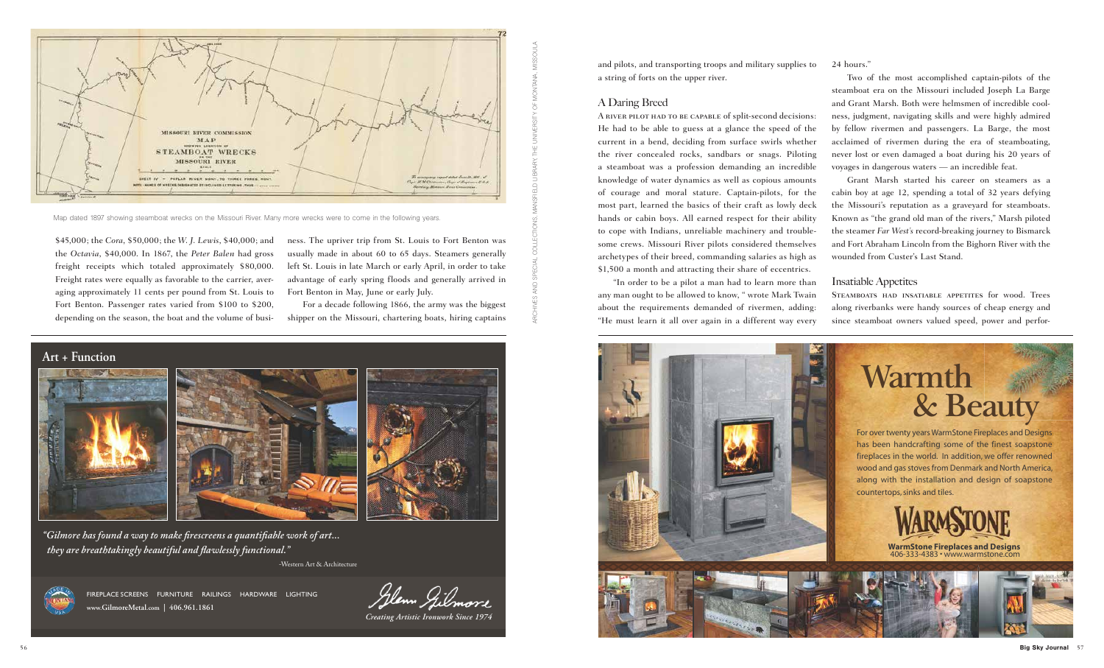and pilots, and transporting troops and military supplies to a string of forts on the upper river.

# A Daring Breed

ness. The upriver trip from St. Louis to Fort Benton was usually made in about 60 to 65 days. Steamers generally left St. Louis in late March or early April, in order to take advantage of early spring floods and generally arrived in Fort Benton in May, June or early July.

For a decade following 1866, the army was the biggest shipper on the Missouri, chartering boats, hiring captains

\$45,000; the *Cora*, \$50,000; the *W. J. Lewis*, \$40,000; and the *Octavia*, \$40,000. In 1867, the *Peter Balen* had gross freight receipts which totaled approximately \$80,000. Freight rates were equally as favorable to the carrier, averaging approximately 11 cents per pound from St. Louis to Fort Benton. Passenger rates varied from \$100 to \$200, depending on the season, the boat and the volume of busiA river pilot had to be capable of split-second decisions: He had to be able to guess at a glance the speed of the current in a bend, deciding from surface swirls whether the river concealed rocks, sandbars or snags. Piloting a steamboat was a profession demanding an incredible knowledge of water dynamics as well as copious amounts of courage and moral stature. Captain-pilots, for the most part, learned the basics of their craft as lowly deck hands or cabin boys. All earned respect for their ability to cope with Indians, unreliable machinery and troublesome crews. Missouri River pilots considered themselves archetypes of their breed, commanding salaries as high as \$1,500 a month and attracting their share of eccentrics. by fellow rivermen and passengers. La Barge, the most acclaimed of rivermen during the era of steamboating, never lost or even damaged a boat during his 20 years of voyages in dangerous waters — an incredible feat. Grant Marsh started his career on steamers as a cabin boy at age 12, spending a total of 32 years defying the Missouri's reputation as a graveyard for steamboats. Known as "the grand old man of the rivers," Marsh piloted the steamer *Far West's* record-breaking journey to Bismarck and Fort Abraham Lincoln from the Bighorn River with the wounded from Custer's Last Stand.

-Western Art & Architecture



**www.GilmoreMetal.com | 406.961.1861** fireplace screens furniture railings hardware lighting

Glenn Gilmore



*"Gilmore has found a way to make firescreens a quantifiable work of art... they are breathtakingly beautiful and flawlessly functional."*

*Creating Artistic Ironwork Since 1974*

"In order to be a pilot a man had to learn more than any man ought to be allowed to know, " wrote Mark Twain about the requirements demanded of rivermen, adding: "He must learn it all over again in a different way every Insatiable Appetites Steamboats had insatiable appetites for wood. Trees along riverbanks were handy sources of cheap energy and since steamboat owners valued speed, power and perfor-





Map dated 1897 showing steamboat wrecks on the Missouri River. Many more wrecks were to come in the following years.

archives and special collections, mansfield library, The University of Montana, Missoula

24 hours."

Two of the most accomplished captain-pilots of the steamboat era on the Missouri included Joseph La Barge and Grant Marsh. Both were helmsmen of incredible coolness, judgment, navigating skills and were highly admired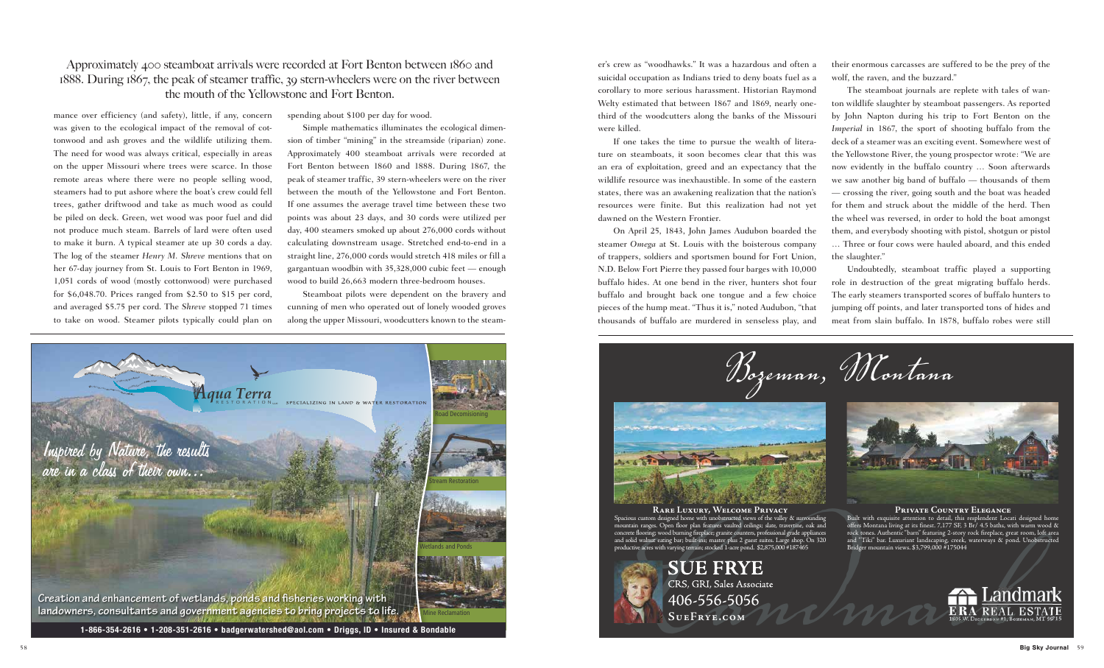





**RARE LUXURY, WELCOME PRIVACY** Spacious custom designed home with unobstructed views of the valley & surrounding mountain ranges. Open floor plan features vaulted ceilings; slate, travertine, oak and concrete flooring; wood burning fireplace; granite counters, professional grade appliances and solid walnut eating bar; built-ins; master plus 2 guest suites. Large shop. On 320 productive acres with varying terrain; stocked 1-acre pond. \$2,875,000 #187465

### **PRIVATE COUNTRY ELEGANCE**

Built with exquisite attention to detail, this resplendent Locati designed home offers Montana living at its finest. 7,177 SF, 3 Br/ 4.5 baths, with warm wood & rock tones. Authentic "barn" featuring 2-story rock fireplace, great room, loft area and "Tiki" bar. Luxuriant landscaping, creek, waterways & pond. Unobstructed Bridger mountain views. \$3,799,000 #175044





mance over efficiency (and safety), little, if any, concern was given to the ecological impact of the removal of cottonwood and ash groves and the wildlife utilizing them. The need for wood was always critical, especially in areas on the upper Missouri where trees were scarce. In those remote areas where there were no people selling wood, steamers had to put ashore where the boat's crew could fell trees, gather driftwood and take as much wood as could be piled on deck. Green, wet wood was poor fuel and did not produce much steam. Barrels of lard were often used to make it burn. A typical steamer ate up 30 cords a day. The log of the steamer *Henry M. Shreve* mentions that on her 67-day journey from St. Louis to Fort Benton in 1969, 1,051 cords of wood (mostly cottonwood) were purchased for \$6,048.70. Prices ranged from \$2.50 to \$15 per cord, and averaged \$5.75 per cord. The *Shreve* stopped 71 times to take on wood. Steamer pilots typically could plan on

spending about \$100 per day for wood.

Simple mathematics illuminates the ecological dimension of timber "mining" in the streamside (riparian) zone. Approximately 400 steamboat arrivals were recorded at Fort Benton between 1860 and 1888. During 1867, the peak of steamer traffic, 39 stern-wheelers were on the river between the mouth of the Yellowstone and Fort Benton. If one assumes the average travel time between these two points was about 23 days, and 30 cords were utilized per day, 400 steamers smoked up about 276,000 cords without calculating downstream usage. Stretched end-to-end in a straight line, 276,000 cords would stretch 418 miles or fill a gargantuan woodbin with 35,328,000 cubic feet — enough wood to build 26,663 modern three-bedroom houses.

Steamboat pilots were dependent on the bravery and cunning of men who operated out of lonely wooded groves along the upper Missouri, woodcutters known to the steamer's crew as "woodhawks." It was a hazardous and often a suicidal occupation as Indians tried to deny boats fuel as a corollary to more serious harassment. Historian Raymond Welty estimated that between 1867 and 1869, nearly onethird of the woodcutters along the banks of the Missouri were killed.

If one takes the time to pursue the wealth of literature on steamboats, it soon becomes clear that this was an era of exploitation, greed and an expectancy that the wildlife resource was inexhaustible. In some of the eastern states, there was an awakening realization that the nation's resources were finite. But this realization had not yet dawned on the Western Frontier.

their enormous carcasses are suffered to be the prey of the wolf, the raven, and the buzzard."

On April 25, 1843, John James Audubon boarded the steamer *Omega* at St. Louis with the boisterous company of trappers, soldiers and sportsmen bound for Fort Union, N.D. Below Fort Pierre they passed four barges with 10,000 buffalo hides. At one bend in the river, hunters shot four buffalo and brought back one tongue and a few choice pieces of the hump meat. "Thus it is," noted Audubon, "that thousands of buffalo are murdered in senseless play, and … Three or four cows were hauled aboard, and this ended the slaughter." Undoubtedly, steamboat traffic played a supporting role in destruction of the great migrating buffalo herds. The early steamers transported scores of buffalo hunters to jumping off points, and later transported tons of hides and meat from slain buffalo. In 1878, buffalo robes were still



The steamboat journals are replete with tales of wanton wildlife slaughter by steamboat passengers. As reported by John Napton during his trip to Fort Benton on the *Imperial* in 1867, the sport of shooting buffalo from the deck of a steamer was an exciting event. Somewhere west of the Yellowstone River, the young prospector wrote: "We are now evidently in the buffalo country … Soon afterwards we saw another big band of buffalo — thousands of them — crossing the river, going south and the boat was headed for them and struck about the middle of the herd. Then the wheel was reversed, in order to hold the boat amongst them, and everybody shooting with pistol, shotgun or pistol

# Approximately 400 steamboat arrivals were recorded at Fort Benton between 1860 and 1888. During 1867, the peak of steamer traffic, 39 stern-wheelers were on the river between the mouth of the Yellowstone and Fort Benton.